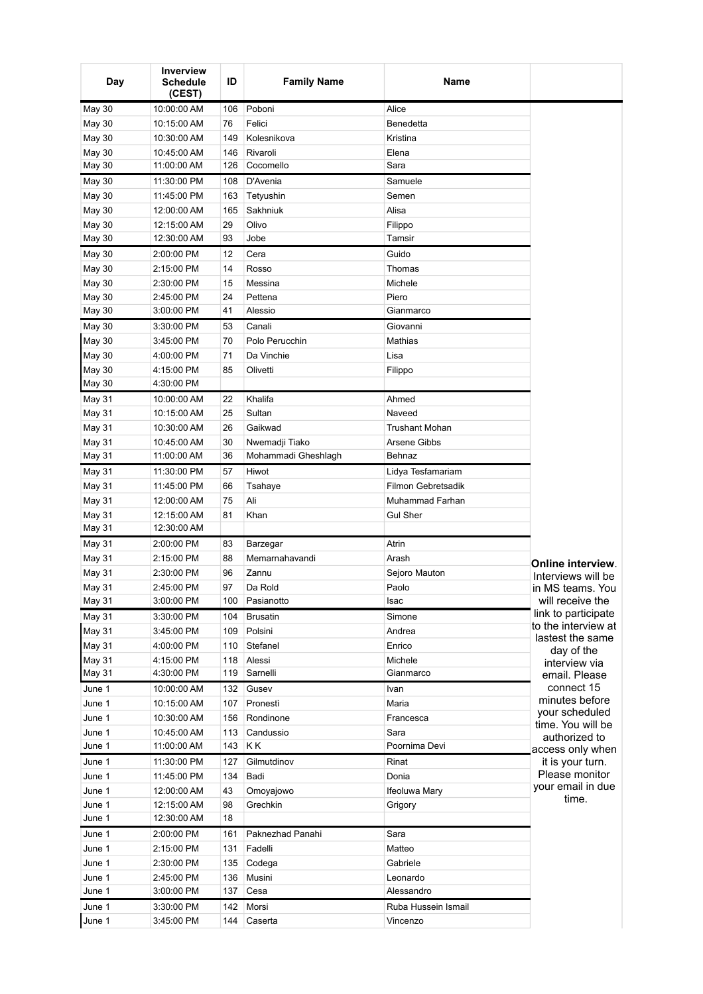| Day           | <b>Inverview</b><br><b>Schedule</b><br>(CEST) | ID  | <b>Family Name</b>  | Name                  |                                         |
|---------------|-----------------------------------------------|-----|---------------------|-----------------------|-----------------------------------------|
| <b>May 30</b> | 10:00:00 AM                                   | 106 | Poboni              | Alice                 |                                         |
| <b>May 30</b> | 10:15:00 AM                                   | 76  | Felici              | Benedetta             |                                         |
| <b>May 30</b> | 10:30:00 AM                                   | 149 | Kolesnikova         | Kristina              |                                         |
| <b>May 30</b> | 10:45:00 AM                                   | 146 | Rivaroli            | Elena                 |                                         |
| <b>May 30</b> | 11:00:00 AM                                   | 126 | Cocomello           | Sara                  |                                         |
| <b>May 30</b> | 11:30:00 PM                                   | 108 | D'Avenia            | Samuele               |                                         |
| <b>May 30</b> | 11:45:00 PM                                   | 163 | Tetyushin           | Semen                 |                                         |
| May 30        | 12:00:00 AM                                   | 165 | Sakhniuk            | Alisa                 |                                         |
| <b>May 30</b> | 12:15:00 AM                                   | 29  | Olivo               | Filippo               |                                         |
| <b>May 30</b> | 12:30:00 AM                                   | 93  | Jobe                | Tamsir                |                                         |
| <b>May 30</b> | 2:00:00 PM                                    | 12  | Cera                | Guido                 |                                         |
| <b>May 30</b> | 2:15:00 PM                                    | 14  | Rosso               | Thomas                |                                         |
| <b>May 30</b> | 2:30:00 PM                                    | 15  | Messina             | Michele               |                                         |
| <b>May 30</b> | 2:45:00 PM                                    | 24  | Pettena             | Piero                 |                                         |
| <b>May 30</b> | 3:00:00 PM                                    | 41  | Alessio             | Gianmarco             |                                         |
| <b>May 30</b> | 3:30:00 PM                                    | 53  | Canali              | Giovanni              |                                         |
| <b>May 30</b> | 3:45:00 PM                                    | 70  | Polo Perucchin      | Mathias               |                                         |
| <b>May 30</b> | 4:00:00 PM                                    | 71  | Da Vinchie          | Lisa                  |                                         |
| <b>May 30</b> | 4:15:00 PM                                    | 85  | Olivetti            | Filippo               |                                         |
| <b>May 30</b> | 4:30:00 PM                                    |     |                     |                       |                                         |
| <b>May 31</b> | 10:00:00 AM                                   | 22  | Khalifa             | Ahmed                 |                                         |
| <b>May 31</b> | 10:15:00 AM                                   | 25  | Sultan              | Naveed                |                                         |
| <b>May 31</b> | 10:30:00 AM                                   | 26  | Gaikwad             | <b>Trushant Mohan</b> |                                         |
| <b>May 31</b> | 10:45:00 AM                                   | 30  | Nwemadji Tiako      | Arsene Gibbs          |                                         |
| <b>May 31</b> | 11:00:00 AM                                   | 36  | Mohammadi Gheshlagh | Behnaz                |                                         |
| <b>May 31</b> | 11:30:00 PM                                   | 57  | Hiwot               | Lidya Tesfamariam     |                                         |
| <b>May 31</b> | 11:45:00 PM                                   | 66  | Tsahaye             | Filmon Gebretsadik    |                                         |
| <b>May 31</b> | 12:00:00 AM                                   | 75  | Ali                 | Muhammad Farhan       |                                         |
| <b>May 31</b> | 12:15:00 AM                                   | 81  | Khan                | <b>Gul Sher</b>       |                                         |
| <b>May 31</b> | 12:30:00 AM                                   |     |                     |                       |                                         |
| <b>May 31</b> | 2:00:00 PM                                    | 83  | Barzegar            | Atrin                 |                                         |
| May 31        | 2:15:00 PM                                    | 88  | Memarnahavandi      | Arash                 |                                         |
| <b>May 31</b> | 2:30:00 PM                                    | 96  | Zannu               | Sejoro Mauton         | Online interview.<br>Interviews will be |
| May 31        | 2:45:00 PM                                    | 97  | Da Rold             | Paolo                 | in MS teams. You                        |
| <b>May 31</b> | 3:00:00 PM                                    | 100 | Pasianotto          | Isac                  | will receive the                        |
| May 31        | 3:30:00 PM                                    | 104 | <b>Brusatin</b>     | Simone                | link to participate                     |
| <b>May 31</b> | 3:45:00 PM                                    | 109 | Polsini             | Andrea                | to the interview at                     |
| <b>May 31</b> | 4:00:00 PM                                    | 110 | Stefanel            | Enrico                | lastest the same                        |
| May 31        | 4:15:00 PM                                    | 118 | Alessi              | Michele               | day of the<br>interview via             |
| May 31        | 4:30:00 PM                                    | 119 | Sarnelli            | Gianmarco             | email. Please                           |
| June 1        | 10:00:00 AM                                   | 132 | Gusev               | Ivan                  | connect 15                              |
| June 1        | 10:15:00 AM                                   | 107 | Pronesti            | Maria                 | minutes before                          |
| June 1        | 10:30:00 AM                                   | 156 | Rondinone           | Francesca             | your scheduled                          |
| June 1        | 10:45:00 AM                                   | 113 | Candussio           | Sara                  | time. You will be<br>authorized to      |
| June 1        | 11:00:00 AM                                   | 143 | ΚK                  | Poornima Devi         | access only when                        |
| June 1        | 11:30:00 PM                                   | 127 | Gilmutdinov         | Rinat                 | it is your turn.                        |
| June 1        | 11:45:00 PM                                   | 134 | Badi                | Donia                 | Please monitor                          |
| June 1        | 12:00:00 AM                                   | 43  | Omoyajowo           | Ifeoluwa Mary         | your email in due                       |
| June 1        | 12:15:00 AM                                   | 98  | Grechkin            | Grigory               | time.                                   |
| June 1        | 12:30:00 AM                                   | 18  |                     |                       |                                         |
| June 1        | 2:00:00 PM                                    | 161 | Paknezhad Panahi    | Sara                  |                                         |
| June 1        | 2:15:00 PM                                    | 131 | Fadelli             | Matteo                |                                         |
| June 1        | 2:30:00 PM                                    | 135 | Codega              | Gabriele              |                                         |
| June 1        | 2:45:00 PM                                    | 136 | Musini              | Leonardo              |                                         |
| June 1        | 3:00:00 PM                                    | 137 | Cesa                | Alessandro            |                                         |
| June 1        | 3:30:00 PM                                    | 142 | Morsi               | Ruba Hussein Ismail   |                                         |
| June 1        | 3:45:00 PM                                    | 144 | Caserta             | Vincenzo              |                                         |
|               |                                               |     |                     |                       |                                         |